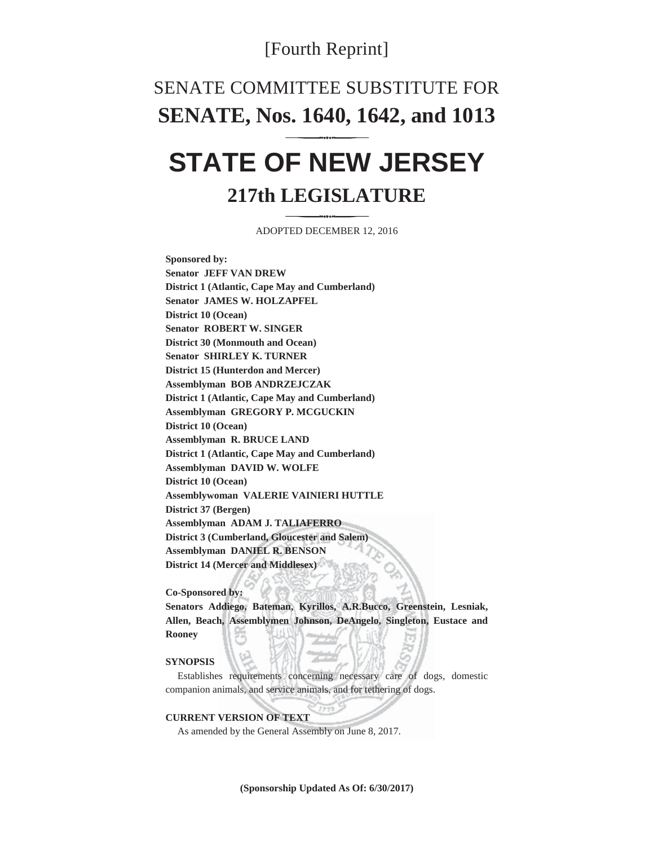## [Fourth Reprint]

# SENATE COMMITTEE SUBSTITUTE FOR **SENATE, Nos. 1640, 1642, and 1013**

# **STATE OF NEW JERSEY 217th LEGISLATURE**

ADOPTED DECEMBER 12, 2016

**Sponsored by: Senator JEFF VAN DREW District 1 (Atlantic, Cape May and Cumberland) Senator JAMES W. HOLZAPFEL District 10 (Ocean) Senator ROBERT W. SINGER District 30 (Monmouth and Ocean) Senator SHIRLEY K. TURNER District 15 (Hunterdon and Mercer) Assemblyman BOB ANDRZEJCZAK District 1 (Atlantic, Cape May and Cumberland) Assemblyman GREGORY P. MCGUCKIN District 10 (Ocean) Assemblyman R. BRUCE LAND District 1 (Atlantic, Cape May and Cumberland) Assemblyman DAVID W. WOLFE District 10 (Ocean) Assemblywoman VALERIE VAINIERI HUTTLE District 37 (Bergen) Assemblyman ADAM J. TALIAFERRO District 3 (Cumberland, Gloucester and Salem) Assemblyman DANIEL R. BENSON District 14 (Mercer and Middlesex)** 

#### **Co-Sponsored by:**

**Senators Addiego, Bateman, Kyrillos, A.R.Bucco, Greenstein, Lesniak, Allen, Beach, Assemblymen Johnson, DeAngelo, Singleton, Eustace and Rooney** 

#### **SYNOPSIS**

 Establishes requirements concerning necessary care of dogs, domestic companion animals, and service animals, and for tethering of dogs.

### **CURRENT VERSION OF TEXT**

As amended by the General Assembly on June 8, 2017.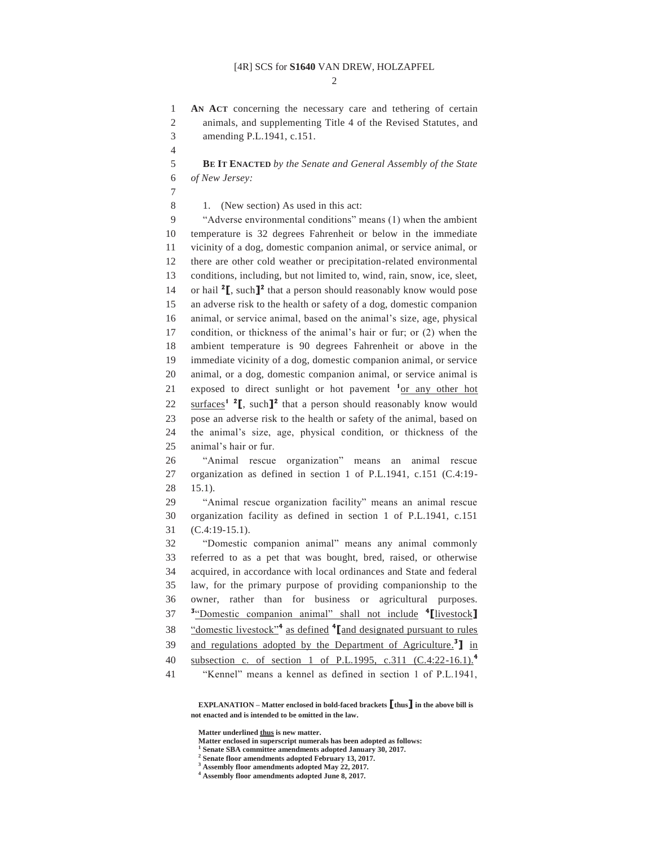$\mathcal{D}$ 

1 **AN ACT** concerning the necessary care and tethering of certain 2 animals, and supplementing Title 4 of the Revised Statutes, and 3 amending P.L.1941, c.151.

4

5 **BE IT ENACTED** *by the Senate and General Assembly of the State*  6 *of New Jersey:* 

7

8 1. (New section) As used in this act:

9 "Adverse environmental conditions" means (1) when the ambient 10 temperature is 32 degrees Fahrenheit or below in the immediate 11 vicinity of a dog, domestic companion animal, or service animal, or 12 there are other cold weather or precipitation-related environmental 13 conditions, including, but not limited to, wind, rain, snow, ice, sleet, 14 or hail <sup>2</sup>**[**, such<sup>2</sup> that a person should reasonably know would pose 15 an adverse risk to the health or safety of a dog, domestic companion 16 animal, or service animal, based on the animal's size, age, physical 17 condition, or thickness of the animal's hair or fur; or (2) when the 18 ambient temperature is 90 degrees Fahrenheit or above in the 19 immediate vicinity of a dog, domestic companion animal, or service 20 animal, or a dog, domestic companion animal, or service animal is 21 exposed to direct sunlight or hot pavement  $1$ <sup>or</sup> any other hot 22  $\text{surfaces}^1$  **2**, such  $\mathbb{I}^2$  that a person should reasonably know would 23 pose an adverse risk to the health or safety of the animal, based on 24 the animal's size, age, physical condition, or thickness of the 25 animal's hair or fur.

26 "Animal rescue organization" means an animal rescue 27 organization as defined in section 1 of P.L.1941, c.151 (C.4:19- 28 15.1).

29 "Animal rescue organization facility" means an animal rescue 30 organization facility as defined in section 1 of P.L.1941, c.151 31 (C.4:19-15.1).

32 "Domestic companion animal" means any animal commonly 33 referred to as a pet that was bought, bred, raised, or otherwise 34 acquired, in accordance with local ordinances and State and federal 35 law, for the primary purpose of providing companionship to the 36 owner, rather than for business or agricultural purposes. **3** "Domestic companion animal" shall not include **<sup>4</sup>** 37 **[**livestock**]** <sup>38</sup> "domestic livestock"<sup>4</sup> as defined <sup>4</sup> [and designated pursuant to rules and regulations adopted by the Department of Agriculture.**<sup>3</sup>** 39 **]** in subsection c. of section 1 of P.L.1995, c.311 (C.4:22-16.1).**<sup>4</sup>** 40

41 "Kennel" means a kennel as defined in section 1 of P.L.1941,

 **EXPLANATION – Matter enclosed in bold-faced brackets [thus] in the above bill is not enacted and is intended to be omitted in the law.** 

 **Matter underlined thus is new matter.** 

 **Matter enclosed in superscript numerals has been adopted as follows: 1**

 **Senate SBA committee amendments adopted January 30, 2017.** 

**2 Senate floor amendments adopted February 13, 2017.** 

**3 Assembly floor amendments adopted May 22, 2017.** 

**4 Assembly floor amendments adopted June 8, 2017.**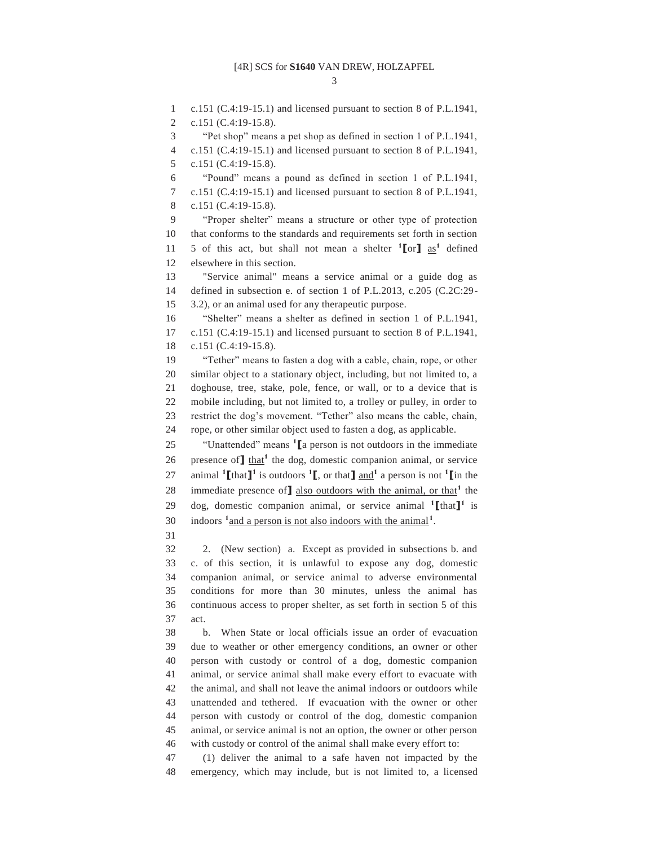3

1 c.151 (C.4:19-15.1) and licensed pursuant to section 8 of P.L.1941,

2 c.151 (C.4:19-15.8).

3 "Pet shop" means a pet shop as defined in section 1 of P.L.1941,

4 c.151 (C.4:19-15.1) and licensed pursuant to section 8 of P.L.1941, 5 c.151 (C.4:19-15.8).

6 "Pound" means a pound as defined in section 1 of P.L.1941,

7 c.151 (C.4:19-15.1) and licensed pursuant to section 8 of P.L.1941, 8 c.151 (C.4:19-15.8).

9 "Proper shelter" means a structure or other type of protection 10 that conforms to the standards and requirements set forth in section 11 5 of this act, but shall not mean a shelter  $\binom{1}{0}$  as<sup>1</sup> defined 12 elsewhere in this section.

13 "Service animal" means a service animal or a guide dog as 14 defined in subsection e. of section 1 of P.L.2013, c.205 (C.2C:29- 15 3.2), or an animal used for any therapeutic purpose.

16 "Shelter" means a shelter as defined in section 1 of P.L.1941, 17 c.151 (C.4:19-15.1) and licensed pursuant to section 8 of P.L.1941, 18 c.151 (C.4:19-15.8).

19 "Tether" means to fasten a dog with a cable, chain, rope, or other 20 similar object to a stationary object, including, but not limited to, a 21 doghouse, tree, stake, pole, fence, or wall, or to a device that is 22 mobile including, but not limited to, a trolley or pulley, in order to 23 restrict the dog's movement. "Tether" also means the cable, chain, 24 rope, or other similar object used to fasten a dog, as applicable.

<sup>25</sup> *Constitution Construction 1*  $\alpha$  is not outdoors in the immediate 26 presence of  $\mathbf{I}$  that<sup>1</sup> the dog, domestic companion animal, or service 27 animal  $\text{I}\left[\text{that}\right]$ <sup>1</sup> is outdoors  $\text{I}\left[\text{I}\right]$ , or that  $\text{I}\left[\text{and}^1\right]$  a person is not  $\text{I}\left[\text{In the}\right]$ 28 immediate presence of **]** also outdoors with the animal, or that<sup>1</sup> the 29 dog, domestic companion animal, or service animal <sup>1</sup>[that]<sup>1</sup> is 30 indoors <sup>1</sup> and a person is not also indoors with the animal<sup>1</sup>.

31

32 2. (New section) a. Except as provided in subsections b. and 33 c. of this section, it is unlawful to expose any dog, domestic 34 companion animal, or service animal to adverse environmental 35 conditions for more than 30 minutes, unless the animal has 36 continuous access to proper shelter, as set forth in section 5 of this 37 act.

38 b. When State or local officials issue an order of evacuation 39 due to weather or other emergency conditions, an owner or other 40 person with custody or control of a dog, domestic companion 41 animal, or service animal shall make every effort to evacuate with 42 the animal, and shall not leave the animal indoors or outdoors while 43 unattended and tethered. If evacuation with the owner or other 44 person with custody or control of the dog, domestic companion 45 animal, or service animal is not an option, the owner or other person 46 with custody or control of the animal shall make every effort to:

47 (1) deliver the animal to a safe haven not impacted by the 48 emergency, which may include, but is not limited to, a licensed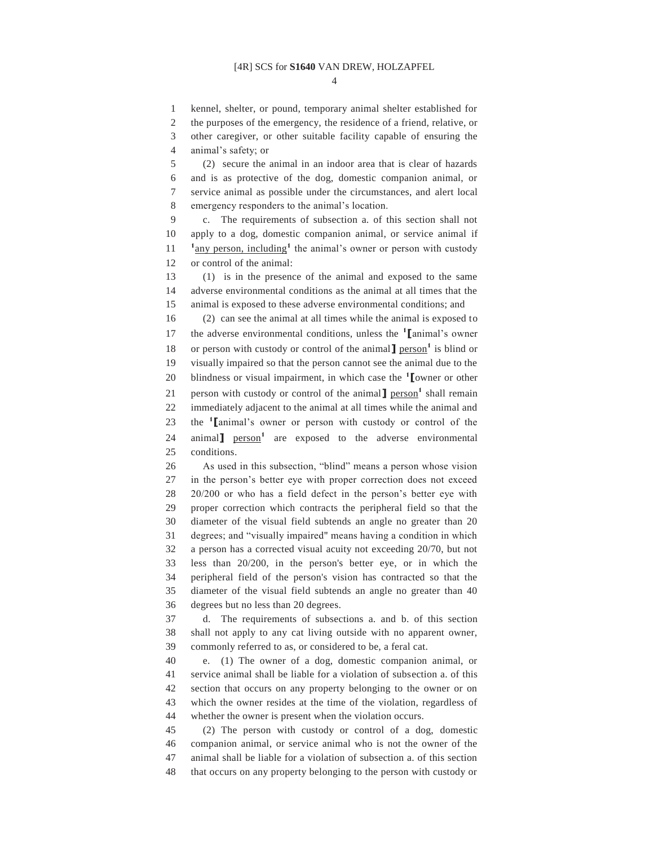4

1 kennel, shelter, or pound, temporary animal shelter established for

2 the purposes of the emergency, the residence of a friend, relative, or

3 other caregiver, or other suitable facility capable of ensuring the

4 animal's safety; or

5 (2) secure the animal in an indoor area that is clear of hazards 6 and is as protective of the dog, domestic companion animal, or 7 service animal as possible under the circumstances, and alert local 8 emergency responders to the animal's location.

9 c. The requirements of subsection a. of this section shall not 10 apply to a dog, domestic companion animal, or service animal if  $11$   $\frac{1}{2}$  any person, including<sup>1</sup> the animal's owner or person with custody 12 or control of the animal:

13 (1) is in the presence of the animal and exposed to the same 14 adverse environmental conditions as the animal at all times that the 15 animal is exposed to these adverse environmental conditions; and

16 (2) can see the animal at all times while the animal is exposed to 17 the adverse environmental conditions, unless the <sup>1</sup> [animal's owner 18 or person with custody or control of the animal<sup>1</sup> person<sup>1</sup> is blind or

19 visually impaired so that the person cannot see the animal due to the

20 blindness or visual impairment, in which case the <sup>1</sup> [owner or other

21 person with custody or control of the animal<sup>1</sup> person<sup>1</sup> shall remain

22 immediately adjacent to the animal at all times while the animal and

the **<sup>1</sup>** 23 **[**animal's owner or person with custody or control of the

24 animal<sup>1</sup> person<sup>1</sup> are exposed to the adverse environmental 25 conditions.

26 As used in this subsection, "blind" means a person whose vision 27 in the person's better eye with proper correction does not exceed 28 20/200 or who has a field defect in the person's better eye with 29 proper correction which contracts the peripheral field so that the 30 diameter of the visual field subtends an angle no greater than 20 31 degrees; and "visually impaired" means having a condition in which 32 a person has a corrected visual acuity not exceeding 20/70, but not 33 less than 20/200, in the person's better eye, or in which the 34 peripheral field of the person's vision has contracted so that the 35 diameter of the visual field subtends an angle no greater than 40 36 degrees but no less than 20 degrees.

37 d. The requirements of subsections a. and b. of this section 38 shall not apply to any cat living outside with no apparent owner, 39 commonly referred to as, or considered to be, a feral cat.

40 e. (1) The owner of a dog, domestic companion animal, or 41 service animal shall be liable for a violation of subsection a. of this 42 section that occurs on any property belonging to the owner or on 43 which the owner resides at the time of the violation, regardless of 44 whether the owner is present when the violation occurs.

45 (2) The person with custody or control of a dog, domestic 46 companion animal, or service animal who is not the owner of the 47 animal shall be liable for a violation of subsection a. of this section 48 that occurs on any property belonging to the person with custody or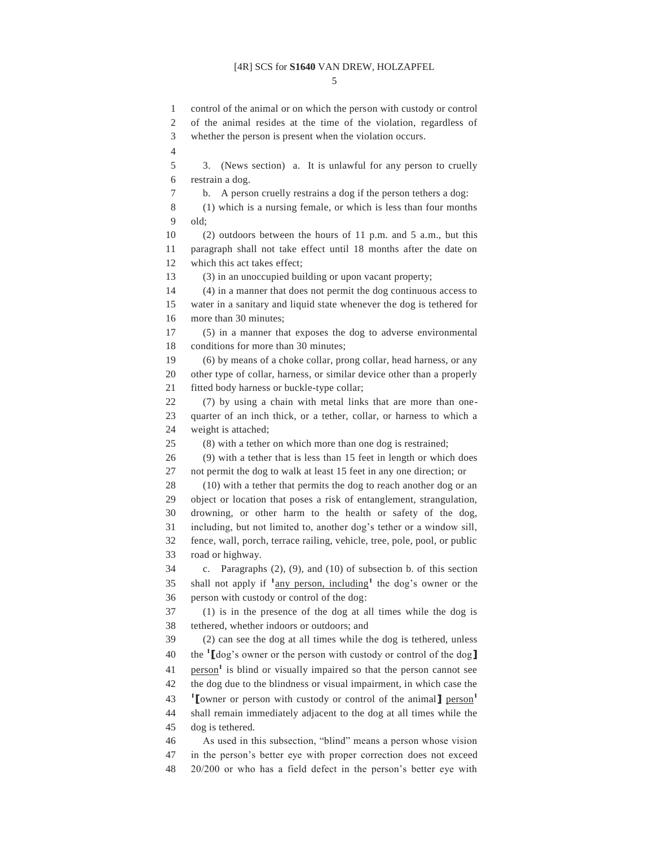5

1 control of the animal or on which the person with custody or control 2 of the animal resides at the time of the violation, regardless of 3 whether the person is present when the violation occurs. 4 5 3. (News section) a. It is unlawful for any person to cruelly 6 restrain a dog. 7 b. A person cruelly restrains a dog if the person tethers a dog: 8 (1) which is a nursing female, or which is less than four months 9 old; 10 (2) outdoors between the hours of 11 p.m. and 5 a.m., but this 11 paragraph shall not take effect until 18 months after the date on 12 which this act takes effect; 13 (3) in an unoccupied building or upon vacant property; 14 (4) in a manner that does not permit the dog continuous access to 15 water in a sanitary and liquid state whenever the dog is tethered for 16 more than 30 minutes; 17 (5) in a manner that exposes the dog to adverse environmental 18 conditions for more than 30 minutes; 19 (6) by means of a choke collar, prong collar, head harness, or any 20 other type of collar, harness, or similar device other than a properly 21 fitted body harness or buckle-type collar; 22 (7) by using a chain with metal links that are more than one-23 quarter of an inch thick, or a tether, collar, or harness to which a 24 weight is attached; 25 (8) with a tether on which more than one dog is restrained; 26 (9) with a tether that is less than 15 feet in length or which does 27 not permit the dog to walk at least 15 feet in any one direction; or 28 (10) with a tether that permits the dog to reach another dog or an 29 object or location that poses a risk of entanglement, strangulation, 30 drowning, or other harm to the health or safety of the dog, 31 including, but not limited to, another dog's tether or a window sill, 32 fence, wall, porch, terrace railing, vehicle, tree, pole, pool, or public 33 road or highway. 34 c. Paragraphs (2), (9), and (10) of subsection b. of this section 35 shall not apply if  $\frac{1}{2}$  any person, including<sup>1</sup> the dog's owner or the 36 person with custody or control of the dog: 37 (1) is in the presence of the dog at all times while the dog is 38 tethered, whether indoors or outdoors; and 39 (2) can see the dog at all times while the dog is tethered, unless the **<sup>1</sup>** 40 **[**dog's owner or the person with custody or control of the dog**]** 41 person<sup>1</sup> is blind or visually impaired so that the person cannot see 42 the dog due to the blindness or visual impairment, in which case the **1 [**owner or person with custody or control of the animal**]** person**<sup>1</sup>** 43 44 shall remain immediately adjacent to the dog at all times while the 45 dog is tethered. 46 As used in this subsection, "blind" means a person whose vision 47 in the person's better eye with proper correction does not exceed

48 20/200 or who has a field defect in the person's better eye with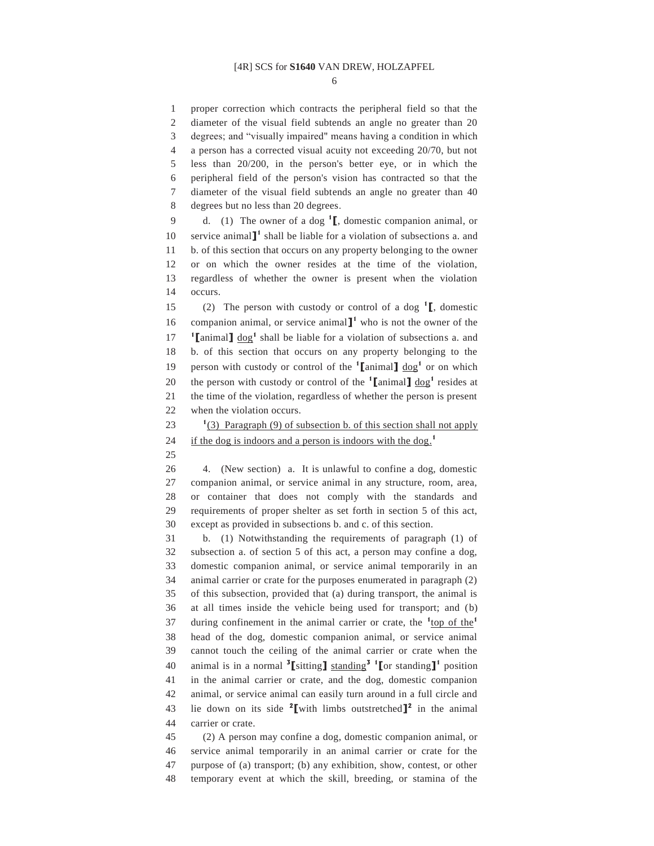6

1 proper correction which contracts the peripheral field so that the 2 diameter of the visual field subtends an angle no greater than 20 3 degrees; and "visually impaired" means having a condition in which 4 a person has a corrected visual acuity not exceeding 20/70, but not 5 less than 20/200, in the person's better eye, or in which the 6 peripheral field of the person's vision has contracted so that the 7 diameter of the visual field subtends an angle no greater than 40 8 degrees but no less than 20 degrees. 9 d. (1) The owner of a dog <sup>1</sup><sub>L</sub>, domestic companion animal, or 10 service animal<sup>1</sup> shall be liable for a violation of subsections a. and 11 b. of this section that occurs on any property belonging to the owner 12 or on which the owner resides at the time of the violation, 13 regardless of whether the owner is present when the violation 14 occurs. (2) The person with custody or control of a dog  $\mathbf{1}$ , domestic 16 companion animal, or service animal  $\mathbb{I}^1$  who is not the owner of the **17 ign**  $\text{I}$  animal  $\text{I}$   $\text{d}$   $\text{o}$ **g**<sup>1</sup> shall be liable for a violation of subsections a. and 18 b. of this section that occurs on any property belonging to the 19 person with custody or control of the  $\text{1}$  animal  $\text{1}$  dog<sup>1</sup> or on which 20 the person with custody or control of the  $\text{1}$  animal  $\text{1}$  dog<sup>1</sup> resides at 21 the time of the violation, regardless of whether the person is present 22 when the violation occurs. 23  $\frac{1}{3}$  Paragraph (9) of subsection b. of this section shall not apply if the dog is indoors and a person is indoors with the dog.**<sup>1</sup>** 24 25 26 4. (New section) a. It is unlawful to confine a dog, domestic 27 companion animal, or service animal in any structure, room, area, 28 or container that does not comply with the standards and 29 requirements of proper shelter as set forth in section 5 of this act, 30 except as provided in subsections b. and c. of this section. 31 b. (1) Notwithstanding the requirements of paragraph (1) of 32 subsection a. of section 5 of this act, a person may confine a dog, 33 domestic companion animal, or service animal temporarily in an 34 animal carrier or crate for the purposes enumerated in paragraph (2) 35 of this subsection, provided that (a) during transport, the animal is 36 at all times inside the vehicle being used for transport; and (b) 37 during confinement in the animal carrier or crate, the <sup>1</sup><sub>top of the</sub><sup>1</sup> 38 head of the dog, domestic companion animal, or service animal 39 cannot touch the ceiling of the animal carrier or crate when the animal is in a normal **<sup>3</sup> [**sitting**]** standing**<sup>3</sup> <sup>1</sup> [**or standing**]1** 40 position 41 in the animal carrier or crate, and the dog, domestic companion 42 animal, or service animal can easily turn around in a full circle and 43 lie down on its side  $2$  with limbs outstretched  $\mathbf{I}^2$  in the animal 44 carrier or crate. 45 (2) A person may confine a dog, domestic companion animal, or 46 service animal temporarily in an animal carrier or crate for the 47 purpose of (a) transport; (b) any exhibition, show, contest, or other

48 temporary event at which the skill, breeding, or stamina of the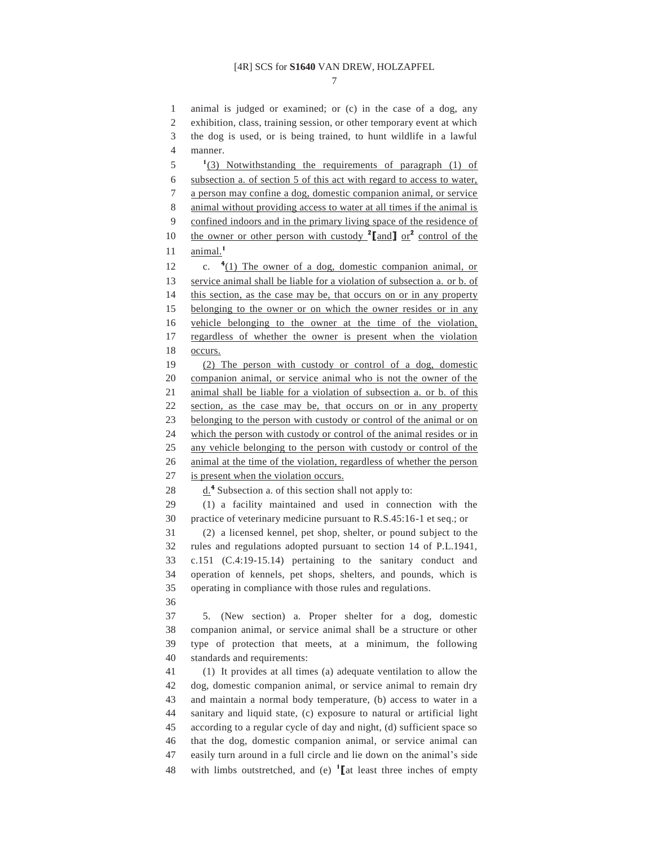7

1 animal is judged or examined; or (c) in the case of a dog, any 2 exhibition, class, training session, or other temporary event at which 3 the dog is used, or is being trained, to hunt wildlife in a lawful 4 manner.  $1\frac{1}{3}$  Notwithstanding the requirements of paragraph (1) of 6 subsection a. of section 5 of this act with regard to access to water, 7 a person may confine a dog, domestic companion animal, or service 8 animal without providing access to water at all times if the animal is 9 confined indoors and in the primary living space of the residence of 10 the owner or other person with custody  $2$  [and ] or  $2$  control of the 11 animal.<sup>1</sup> 12 (1) The owner of a dog, domestic companion animal, or 13 service animal shall be liable for a violation of subsection a. or b. of 14 this section, as the case may be, that occurs on or in any property 15 belonging to the owner or on which the owner resides or in any 16 vehicle belonging to the owner at the time of the violation, 17 regardless of whether the owner is present when the violation 18 occurs. 19 (2) The person with custody or control of a dog, domestic 20 companion animal, or service animal who is not the owner of the 21 animal shall be liable for a violation of subsection a. or b. of this 22 section, as the case may be, that occurs on or in any property 23 belonging to the person with custody or control of the animal or on 24 which the person with custody or control of the animal resides or in 25 any vehicle belonging to the person with custody or control of the 26 animal at the time of the violation, regardless of whether the person 27 is present when the violation occurs. 28 d.<sup>4</sup> Subsection a. of this section shall not apply to: 29 (1) a facility maintained and used in connection with the 30 practice of veterinary medicine pursuant to R.S.45:16-1 et seq.; or 31 (2) a licensed kennel, pet shop, shelter, or pound subject to the 32 rules and regulations adopted pursuant to section 14 of P.L.1941, 33 c.151 (C.4:19-15.14) pertaining to the sanitary conduct and 34 operation of kennels, pet shops, shelters, and pounds, which is 35 operating in compliance with those rules and regulations. 36 37 5. (New section) a. Proper shelter for a dog, domestic 38 companion animal, or service animal shall be a structure or other 39 type of protection that meets, at a minimum, the following 40 standards and requirements: 41 (1) It provides at all times (a) adequate ventilation to allow the 42 dog, domestic companion animal, or service animal to remain dry 43 and maintain a normal body temperature, (b) access to water in a 44 sanitary and liquid state, (c) exposure to natural or artificial light 45 according to a regular cycle of day and night, (d) sufficient space so 46 that the dog, domestic companion animal, or service animal can 47 easily turn around in a full circle and lie down on the animal's side 48 with limbs outstretched, and (e)  $\binom{1}{k}$  least three inches of empty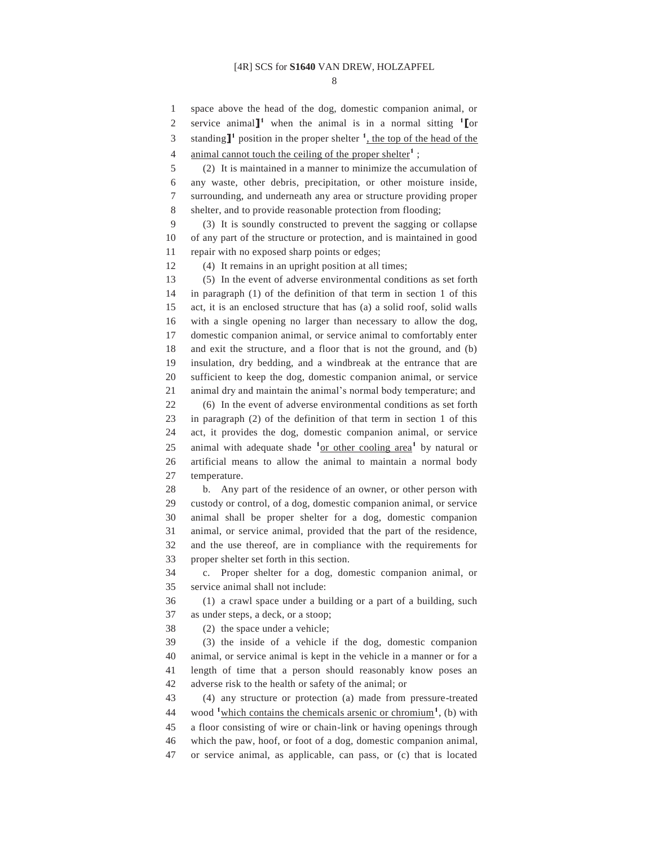8

1 space above the head of the dog, domestic companion animal, or 2 service animal<sup>1</sup> when the animal is in a normal sitting <sup>1</sup> [or 3 standing<sup>1</sup> position in the proper shelter  $\frac{1}{2}$ , the top of the head of the

4 animal cannot touch the ceiling of the proper shelter<sup>1</sup>;

5 (2) It is maintained in a manner to minimize the accumulation of 6 any waste, other debris, precipitation, or other moisture inside, 7 surrounding, and underneath any area or structure providing proper 8 shelter, and to provide reasonable protection from flooding;

9 (3) It is soundly constructed to prevent the sagging or collapse 10 of any part of the structure or protection, and is maintained in good 11 repair with no exposed sharp points or edges;

12 (4) It remains in an upright position at all times;

13 (5) In the event of adverse environmental conditions as set forth 14 in paragraph (1) of the definition of that term in section 1 of this 15 act, it is an enclosed structure that has (a) a solid roof, solid walls 16 with a single opening no larger than necessary to allow the dog, 17 domestic companion animal, or service animal to comfortably enter 18 and exit the structure, and a floor that is not the ground, and (b) 19 insulation, dry bedding, and a windbreak at the entrance that are 20 sufficient to keep the dog, domestic companion animal, or service 21 animal dry and maintain the animal's normal body temperature; and 22 (6) In the event of adverse environmental conditions as set forth 23 in paragraph (2) of the definition of that term in section 1 of this 24 act, it provides the dog, domestic companion animal, or service 25 animal with adequate shade <sup>1</sup><sub>or other cooling area<sup>1</sup> by natural or</sub> 26 artificial means to allow the animal to maintain a normal body 27 temperature.

28 b. Any part of the residence of an owner, or other person with 29 custody or control, of a dog, domestic companion animal, or service 30 animal shall be proper shelter for a dog, domestic companion 31 animal, or service animal, provided that the part of the residence, 32 and the use thereof, are in compliance with the requirements for 33 proper shelter set forth in this section.

34 c. Proper shelter for a dog, domestic companion animal, or 35 service animal shall not include:

36 (1) a crawl space under a building or a part of a building, such 37 as under steps, a deck, or a stoop;

38 (2) the space under a vehicle;

39 (3) the inside of a vehicle if the dog, domestic companion 40 animal, or service animal is kept in the vehicle in a manner or for a 41 length of time that a person should reasonably know poses an 42 adverse risk to the health or safety of the animal; or

43 (4) any structure or protection (a) made from pressure-treated 44 wood <sup>1</sup> which contains the chemicals arsenic or chromium<sup>1</sup>, (b) with 45 a floor consisting of wire or chain-link or having openings through 46 which the paw, hoof, or foot of a dog, domestic companion animal, 47 or service animal, as applicable, can pass, or (c) that is located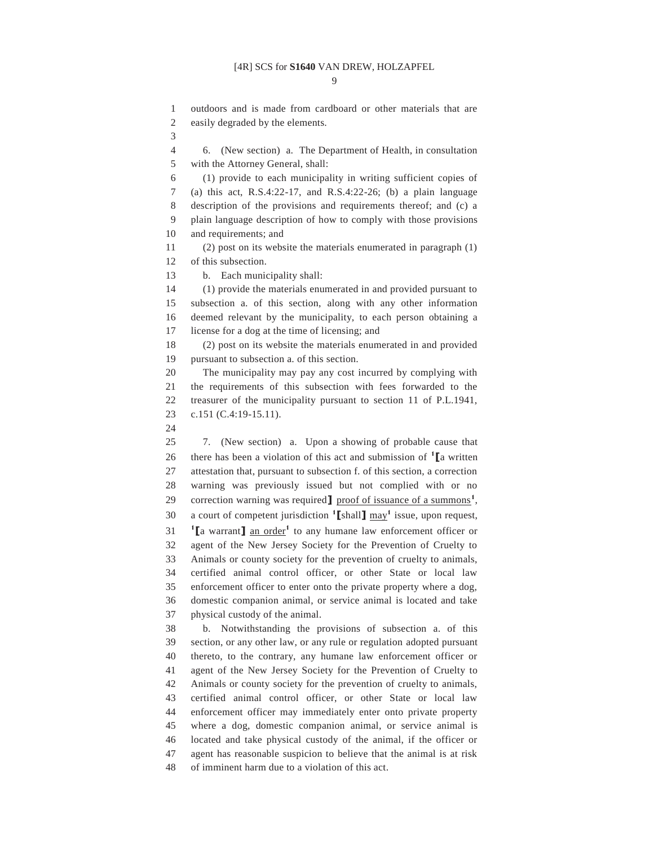$\Omega$ 

1 outdoors and is made from cardboard or other materials that are 2 easily degraded by the elements.

3

4 6. (New section) a. The Department of Health, in consultation 5 with the Attorney General, shall:

6 (1) provide to each municipality in writing sufficient copies of 7 (a) this act, R.S.4:22-17, and R.S.4:22-26; (b) a plain language 8 description of the provisions and requirements thereof; and (c) a 9 plain language description of how to comply with those provisions 10 and requirements; and

11 (2) post on its website the materials enumerated in paragraph (1) 12 of this subsection.

13 b. Each municipality shall:

14 (1) provide the materials enumerated in and provided pursuant to 15 subsection a. of this section, along with any other information

16 deemed relevant by the municipality, to each person obtaining a 17 license for a dog at the time of licensing; and

18 (2) post on its website the materials enumerated in and provided 19 pursuant to subsection a. of this section.

20 The municipality may pay any cost incurred by complying with 21 the requirements of this subsection with fees forwarded to the 22 treasurer of the municipality pursuant to section 11 of P.L.1941, 23 c.151 (C.4:19-15.11).

24

25 7. (New section) a. Upon a showing of probable cause that 26 there has been a violation of this act and submission of  $\mathbf{1}$  **[a** written 27 attestation that, pursuant to subsection f. of this section, a correction 28 warning was previously issued but not complied with or no 29 correction warning was required **]** proof of issuance of a summons<sup>1</sup>, 30 a court of competent jurisdiction  $\text{1}$  [shall]  $\text{may}^1$  issue, upon request, **1 [a** warrant**]** an order<sup>1</sup> to any humane law enforcement officer or 32 agent of the New Jersey Society for the Prevention of Cruelty to 33 Animals or county society for the prevention of cruelty to animals, 34 certified animal control officer, or other State or local law 35 enforcement officer to enter onto the private property where a dog, 36 domestic companion animal, or service animal is located and take 37 physical custody of the animal.

38 b. Notwithstanding the provisions of subsection a. of this 39 section, or any other law, or any rule or regulation adopted pursuant 40 thereto, to the contrary, any humane law enforcement officer or 41 agent of the New Jersey Society for the Prevention of Cruelty to 42 Animals or county society for the prevention of cruelty to animals, 43 certified animal control officer, or other State or local law 44 enforcement officer may immediately enter onto private property 45 where a dog, domestic companion animal, or service animal is 46 located and take physical custody of the animal, if the officer or 47 agent has reasonable suspicion to believe that the animal is at risk 48 of imminent harm due to a violation of this act.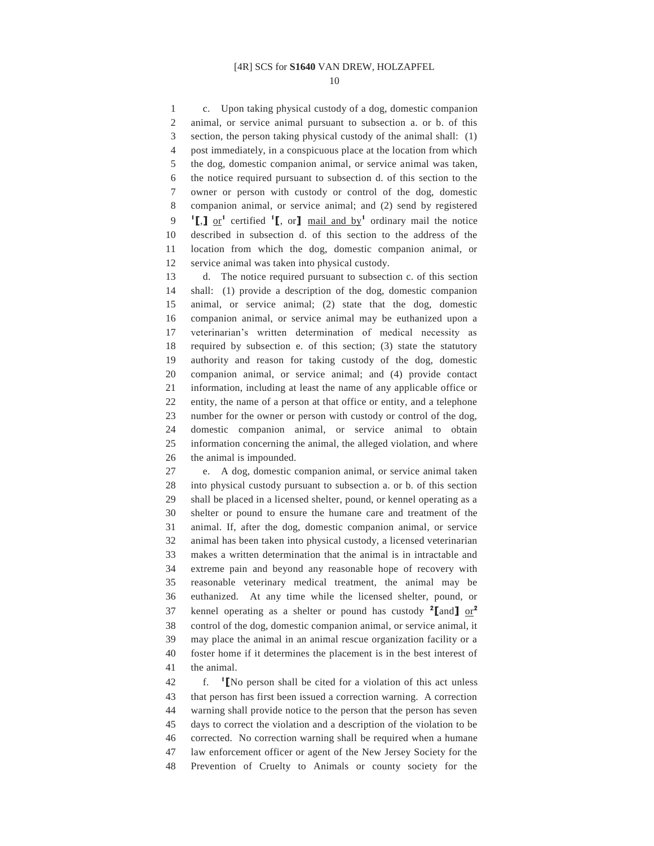10

1 c. Upon taking physical custody of a dog, domestic companion 2 animal, or service animal pursuant to subsection a. or b. of this 3 section, the person taking physical custody of the animal shall: (1) 4 post immediately, in a conspicuous place at the location from which 5 the dog, domestic companion animal, or service animal was taken, 6 the notice required pursuant to subsection d. of this section to the 7 owner or person with custody or control of the dog, domestic 8 companion animal, or service animal; and (2) send by registered **1[**,**]** or<sup>1</sup> certified <sup>1</sup>**[**, or**]** mail and by<sup>1</sup> ordinary mail the notice 10 described in subsection d. of this section to the address of the 11 location from which the dog, domestic companion animal, or 12 service animal was taken into physical custody.

13 d. The notice required pursuant to subsection c. of this section 14 shall: (1) provide a description of the dog, domestic companion 15 animal, or service animal; (2) state that the dog, domestic 16 companion animal, or service animal may be euthanized upon a 17 veterinarian's written determination of medical necessity as 18 required by subsection e. of this section; (3) state the statutory 19 authority and reason for taking custody of the dog, domestic 20 companion animal, or service animal; and (4) provide contact 21 information, including at least the name of any applicable office or 22 entity, the name of a person at that office or entity, and a telephone 23 number for the owner or person with custody or control of the dog, 24 domestic companion animal, or service animal to obtain 25 information concerning the animal, the alleged violation, and where 26 the animal is impounded.

27 e. A dog, domestic companion animal, or service animal taken 28 into physical custody pursuant to subsection a. or b. of this section 29 shall be placed in a licensed shelter, pound, or kennel operating as a 30 shelter or pound to ensure the humane care and treatment of the 31 animal. If, after the dog, domestic companion animal, or service 32 animal has been taken into physical custody, a licensed veterinarian 33 makes a written determination that the animal is in intractable and 34 extreme pain and beyond any reasonable hope of recovery with 35 reasonable veterinary medical treatment, the animal may be 36 euthanized. At any time while the licensed shelter, pound, or kennel operating as a shelter or pound has custody **<sup>2</sup> [**and**]** or**<sup>2</sup>** 37 38 control of the dog, domestic companion animal, or service animal, it 39 may place the animal in an animal rescue organization facility or a 40 foster home if it determines the placement is in the best interest of 41 the animal.

 f. **<sup>1</sup>** 42 **[**No person shall be cited for a violation of this act unless 43 that person has first been issued a correction warning. A correction 44 warning shall provide notice to the person that the person has seven 45 days to correct the violation and a description of the violation to be 46 corrected. No correction warning shall be required when a humane 47 law enforcement officer or agent of the New Jersey Society for the 48 Prevention of Cruelty to Animals or county society for the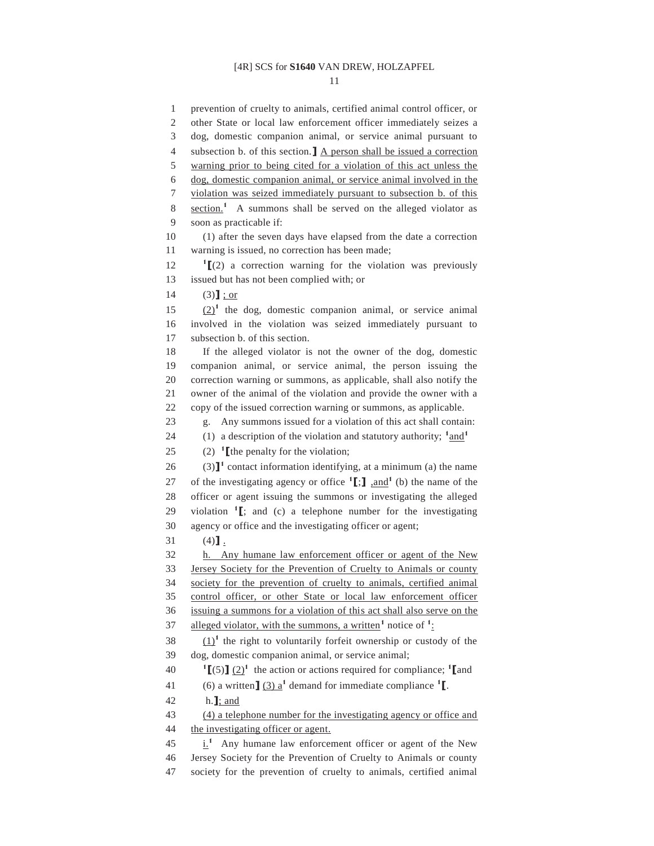11

1 prevention of cruelty to animals, certified animal control officer, or 2 other State or local law enforcement officer immediately seizes a 3 dog, domestic companion animal, or service animal pursuant to 4 subsection b. of this section.**]** A person shall be issued a correction 5 warning prior to being cited for a violation of this act unless the 6 dog, domestic companion animal, or service animal involved in the 7 violation was seized immediately pursuant to subsection b. of this 8 section.<sup>1</sup> A summons shall be served on the alleged violator as 9 soon as practicable if: 10 (1) after the seven days have elapsed from the date a correction 11 warning is issued, no correction has been made; 12  $\textbf{I}$   $\textbf{I}$   $(2)$  a correction warning for the violation was previously 13 issued but has not been complied with; or 14 (3)**]**; or  $(2)^1$  the dog, domestic companion animal, or service animal 16 involved in the violation was seized immediately pursuant to 17 subsection b. of this section. 18 If the alleged violator is not the owner of the dog, domestic 19 companion animal, or service animal, the person issuing the 20 correction warning or summons, as applicable, shall also notify the 21 owner of the animal of the violation and provide the owner with a 22 copy of the issued correction warning or summons, as applicable. 23 g. Any summons issued for a violation of this act shall contain: 24 (1) a description of the violation and statutory authority;  $\frac{1 \text{ and } 1}{2 \text{ and } 1}$ 25  $(2)$  <sup>1</sup> [the penalty for the violation;  $(3)$ <sup>1</sup> contact information identifying, at a minimum (a) the name 27 of the investigating agency or office  $\textbf{1}$ .  $\textbf{1}$ ,  $\textbf{1}$ ,  $\text{and}$   $\textbf{1}$  (b) the name of the 28 officer or agent issuing the summons or investigating the alleged 29 violation  $\mathbf{1}$   $\mathbf{I}$ ; and (c) a telephone number for the investigating 30 agency or office and the investigating officer or agent; 31 (4)**]**. 32 h. Any humane law enforcement officer or agent of the New 33 Jersey Society for the Prevention of Cruelty to Animals or county 34 society for the prevention of cruelty to animals, certified animal 35 control officer, or other State or local law enforcement officer 36 issuing a summons for a violation of this act shall also serve on the 37 alleged violator, with the summons, a written<sup>1</sup> notice of  $1$ .  $(1)^1$  the right to voluntarily forfeit ownership or custody of the 39 dog, domestic companion animal, or service animal; **1**  $\left[\frac{5}{2}\right]$  (2)<sup>1</sup> the action or actions required for compliance; **1** and 41 (6) a written  $\int (3) a^1$  demand for immediate compliance <sup>1</sup>. 42 h.**]**; and 43 (4) a telephone number for the investigating agency or office and 44 the investigating officer or agent.  $\frac{i}{\hbar}$  Any humane law enforcement officer or agent of the New 46 Jersey Society for the Prevention of Cruelty to Animals or county 47 society for the prevention of cruelty to animals, certified animal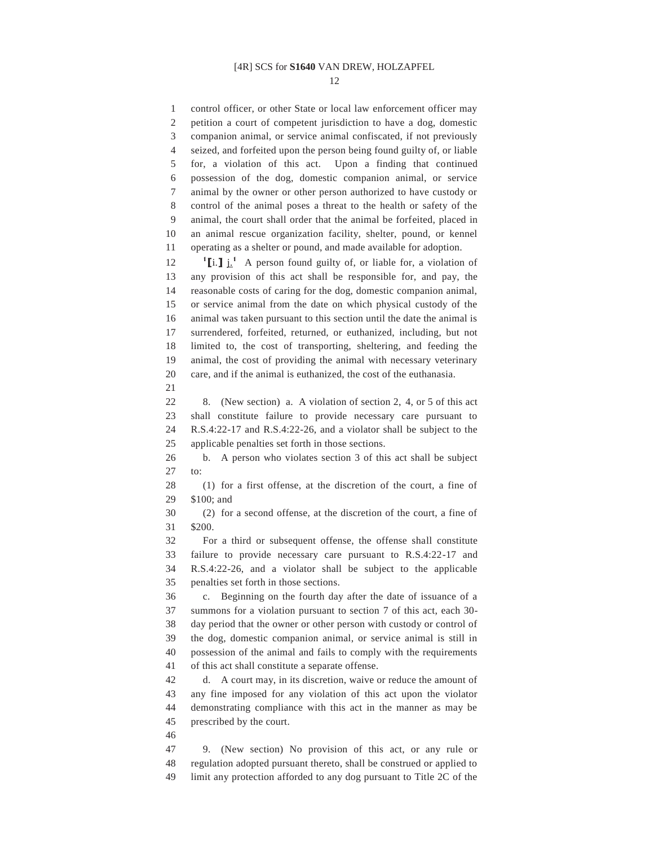12

1 control officer, or other State or local law enforcement officer may 2 petition a court of competent jurisdiction to have a dog, domestic 3 companion animal, or service animal confiscated, if not previously 4 seized, and forfeited upon the person being found guilty of, or liable 5 for, a violation of this act. Upon a finding that continued 6 possession of the dog, domestic companion animal, or service 7 animal by the owner or other person authorized to have custody or 8 control of the animal poses a threat to the health or safety of the 9 animal, the court shall order that the animal be forfeited, placed in 10 an animal rescue organization facility, shelter, pound, or kennel 11 operating as a shelter or pound, and made available for adoption. 12  $\textbf{I}$  **[i.]**  $\textbf{i}$  **A** person found guilty of, or liable for, a violation of 13 any provision of this act shall be responsible for, and pay, the 14 reasonable costs of caring for the dog, domestic companion animal, 15 or service animal from the date on which physical custody of the 16 animal was taken pursuant to this section until the date the animal is 17 surrendered, forfeited, returned, or euthanized, including, but not 18 limited to, the cost of transporting, sheltering, and feeding the 19 animal, the cost of providing the animal with necessary veterinary 20 care, and if the animal is euthanized, the cost of the euthanasia. 21 22 8. (New section) a. A violation of section 2, 4, or 5 of this act 23 shall constitute failure to provide necessary care pursuant to 24 R.S.4:22-17 and R.S.4:22-26, and a violator shall be subject to the 25 applicable penalties set forth in those sections. 26 b. A person who violates section 3 of this act shall be subject 27 to: 28 (1) for a first offense, at the discretion of the court, a fine of 29 \$100; and 30 (2) for a second offense, at the discretion of the court, a fine of 31 \$200. 32 For a third or subsequent offense, the offense shall constitute 33 failure to provide necessary care pursuant to R.S.4:22-17 and 34 R.S.4:22-26, and a violator shall be subject to the applicable 35 penalties set forth in those sections. 36 c. Beginning on the fourth day after the date of issuance of a 37 summons for a violation pursuant to section 7 of this act, each 30- 38 day period that the owner or other person with custody or control of 39 the dog, domestic companion animal, or service animal is still in 40 possession of the animal and fails to comply with the requirements 41 of this act shall constitute a separate offense. 42 d. A court may, in its discretion, waive or reduce the amount of 43 any fine imposed for any violation of this act upon the violator 44 demonstrating compliance with this act in the manner as may be 45 prescribed by the court. 46 47 9. (New section) No provision of this act, or any rule or 48 regulation adopted pursuant thereto, shall be construed or applied to 49 limit any protection afforded to any dog pursuant to Title 2C of the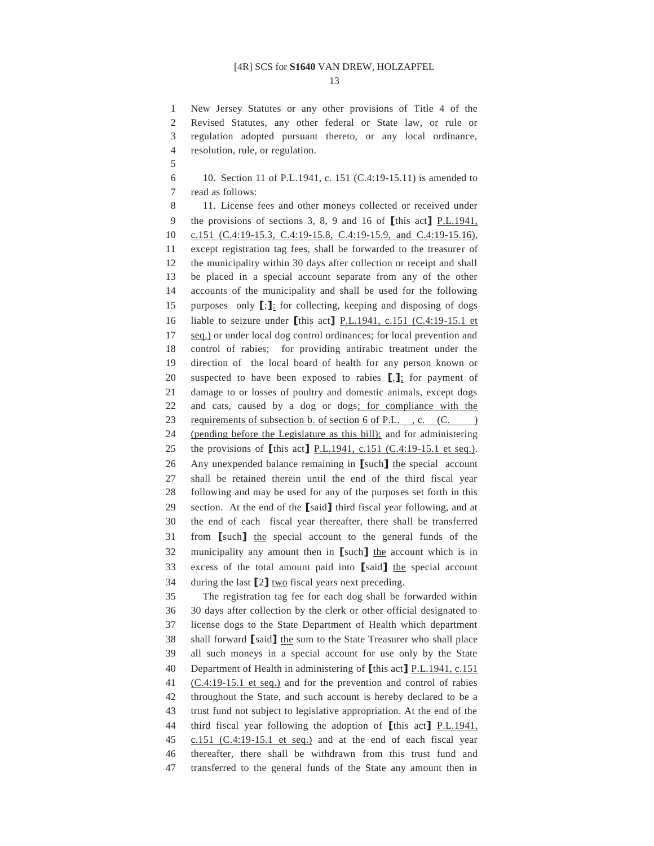13

1 New Jersey Statutes or any other provisions of Title 4 of the 2 Revised Statutes, any other federal or State law, or rule or 3 regulation adopted pursuant thereto, or any local ordinance, 4 resolution, rule, or regulation.

5

6 10. Section 11 of P.L.1941, c. 151 (C.4:19-15.11) is amended to 7 read as follows:

8 11. License fees and other moneys collected or received under 9 the provisions of sections 3, 8, 9 and 16 of **[**this act**]** P.L.1941, 10 c.151 (C.4:19-15.3, C.4:19-15.8, C.4:19-15.9, and C.4:19-15.16), 11 except registration tag fees, shall be forwarded to the treasurer of 12 the municipality within 30 days after collection or receipt and shall 13 be placed in a special account separate from any of the other 14 accounts of the municipality and shall be used for the following 15 purposes only **[**;**]**: for collecting, keeping and disposing of dogs 16 liable to seizure under **[**this act**]** P.L.1941, c.151 (C.4:19-15.1 et 17 seq.) or under local dog control ordinances; for local prevention and 18 control of rabies; for providing antirabic treatment under the 19 direction of the local board of health for any person known or 20 suspected to have been exposed to rabies **[**,**]**; for payment of 21 damage to or losses of poultry and domestic animals, except dogs 22 and cats, caused by a dog or dogs; for compliance with the 23 requirements of subsection b. of section 6 of P.L., c. (C.) 24 (pending before the Legislature as this bill); and for administering 25 the provisions of **[**this act**]** P.L.1941, c.151 (C.4:19-15.1 et seq.). 26 Any unexpended balance remaining in **[**such**]** the special account 27 shall be retained therein until the end of the third fiscal year 28 following and may be used for any of the purposes set forth in this 29 section. At the end of the **[**said**]** third fiscal year following, and at 30 the end of each fiscal year thereafter, there shall be transferred 31 from **[**such**]** the special account to the general funds of the 32 municipality any amount then in **[**such**]** the account which is in 33 excess of the total amount paid into **[**said**]** the special account 34 during the last **[**2**]** two fiscal years next preceding. 35 The registration tag fee for each dog shall be forwarded within

36 30 days after collection by the clerk or other official designated to 37 license dogs to the State Department of Health which department 38 shall forward **[**said**]** the sum to the State Treasurer who shall place 39 all such moneys in a special account for use only by the State 40 Department of Health in administering of **[**this act**]** P.L.1941, c.151 41 (C.4:19-15.1 et seq.) and for the prevention and control of rabies 42 throughout the State, and such account is hereby declared to be a 43 trust fund not subject to legislative appropriation. At the end of the 44 third fiscal year following the adoption of **[**this act**]** P.L.1941, 45 c.151 (C.4:19-15.1 et seq.) and at the end of each fiscal year 46 thereafter, there shall be withdrawn from this trust fund and 47 transferred to the general funds of the State any amount then in